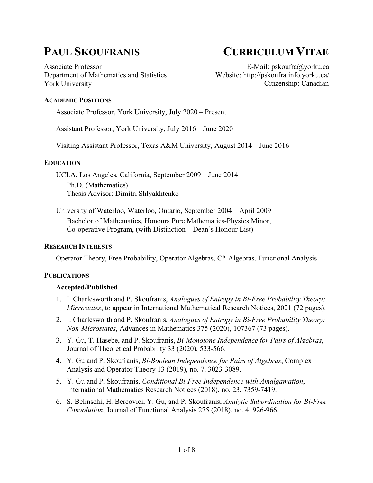Associate Professor Department of Mathematics and Statistics York University

# **PAUL SKOUFRANIS CURRICULUM VITAE**

E-Mail: pskoufra@yorku.ca Website: http://pskoufra.info.yorku.ca/ Citizenship: Canadian

#### **ACADEMIC POSITIONS**

Associate Professor, York University, July 2020 – Present

Assistant Professor, York University, July 2016 – June 2020

Visiting Assistant Professor, Texas A&M University, August 2014 – June 2016

#### **EDUCATION**

UCLA, Los Angeles, California, September 2009 – June 2014 Ph.D. (Mathematics) Thesis Advisor: Dimitri Shlyakhtenko

University of Waterloo, Waterloo, Ontario, September 2004 – April 2009 Bachelor of Mathematics, Honours Pure Mathematics-Physics Minor, Co-operative Program, (with Distinction – Dean's Honour List)

#### **RESEARCH INTERESTS**

Operator Theory, Free Probability, Operator Algebras, C\*-Algebras, Functional Analysis

#### **PUBLICATIONS**

#### **Accepted/Published**

- 1. I. Charlesworth and P. Skoufranis, *Analogues of Entropy in Bi-Free Probability Theory: Microstates*, to appear in International Mathematical Research Notices, 2021 (72 pages).
- 2. I. Charlesworth and P. Skoufranis, *Analogues of Entropy in Bi-Free Probability Theory: Non-Microstates*, Advances in Mathematics 375 (2020), 107367 (73 pages).
- 3. Y. Gu, T. Hasebe, and P. Skoufranis, *Bi-Monotone Independence for Pairs of Algebras*, Journal of Theoretical Probability 33 (2020), 533-566.
- 4. Y. Gu and P. Skoufranis, *Bi-Boolean Independence for Pairs of Algebras*, Complex Analysis and Operator Theory 13 (2019), no. 7, 3023-3089.
- 5. Y. Gu and P. Skoufranis, *Conditional Bi-Free Independence with Amalgamation*, International Mathematics Research Notices (2018), no. 23, 7359-7419.
- 6. S. Belinschi, H. Bercovici, Y. Gu, and P. Skoufranis, *Analytic Subordination for Bi-Free Convolution*, Journal of Functional Analysis 275 (2018), no. 4, 926-966.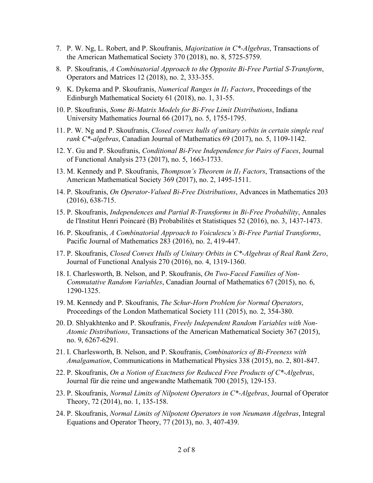- 7. P. W. Ng, L. Robert, and P. Skoufranis, *Majorization in C\*-Algebras*, Transactions of the American Mathematical Society 370 (2018), no. 8, 5725-5759.
- 8. P. Skoufranis, *A Combinatorial Approach to the Opposite Bi-Free Partial S-Transform*, Operators and Matrices 12 (2018), no. 2, 333-355.
- 9. K. Dykema and P. Skoufranis, *Numerical Ranges in II1 Factors*, Proceedings of the Edinburgh Mathematical Society 61 (2018), no. 1, 31-55.
- 10. P. Skoufranis, *Some Bi-Matrix Models for Bi-Free Limit Distributions*, Indiana University Mathematics Journal 66 (2017), no. 5, 1755-1795.
- 11. P. W. Ng and P. Skoufranis, *Closed convex hulls of unitary orbits in certain simple real rank C\*-algebras*, Canadian Journal of Mathematics 69 (2017), no. 5, 1109-1142.
- 12. Y. Gu and P. Skoufranis, *Conditional Bi-Free Independence for Pairs of Faces*, Journal of Functional Analysis 273 (2017), no. 5, 1663-1733.
- 13. M. Kennedy and P. Skoufranis, *Thompson's Theorem in II1 Factors*, Transactions of the American Mathematical Society 369 (2017), no. 2, 1495-1511.
- 14. P. Skoufranis, *On Operator-Valued Bi-Free Distributions*, Advances in Mathematics 203 (2016), 638-715.
- 15. P. Skoufranis, *Independences and Partial R-Transforms in Bi-Free Probability*, Annales de l'Institut Henri Poincaré (B) Probabilités et Statistiques 52 (2016), no. 3, 1437-1473.
- 16. P. Skoufranis, *A Combinatorial Approach to Voiculescu's Bi-Free Partial Transforms*, Pacific Journal of Mathematics 283 (2016), no. 2, 419-447.
- 17. P. Skoufranis, *Closed Convex Hulls of Unitary Orbits in C\*-Algebras of Real Rank Zero*, Journal of Functional Analysis 270 (2016), no. 4, 1319-1360.
- 18. I. Charlesworth, B. Nelson, and P. Skoufranis, *On Two-Faced Families of Non-Commutative Random Variables*, Canadian Journal of Mathematics 67 (2015), no. 6, 1290-1325.
- 19. M. Kennedy and P. Skoufranis, *The Schur-Horn Problem for Normal Operators*, Proceedings of the London Mathematical Society 111 (2015), no. 2, 354-380.
- 20. D. Shlyakhtenko and P. Skoufranis, *Freely Independent Random Variables with Non-Atomic Distributions*, Transactions of the American Mathematical Society 367 (2015), no. 9, 6267-6291.
- 21. I. Charlesworth, B. Nelson, and P. Skoufranis, *Combinatorics of Bi-Freeness with Amalgamation*, Communications in Mathematical Physics 338 (2015), no. 2, 801-847.
- 22. P. Skoufranis, *On a Notion of Exactness for Reduced Free Products of C\*-Algebras*, Journal für die reine und angewandte Mathematik 700 (2015), 129-153.
- 23. P. Skoufranis, *Normal Limits of Nilpotent Operators in C\*-Algebras*, Journal of Operator Theory, 72 (2014), no. 1, 135-158.
- 24. P. Skoufranis, *Normal Limits of Nilpotent Operators in von Neumann Algebras*, Integral Equations and Operator Theory, 77 (2013), no. 3, 407-439.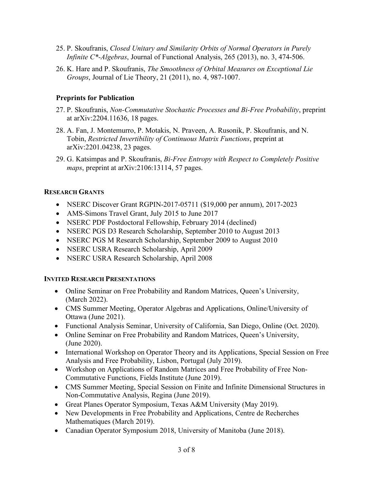- 25. P. Skoufranis, *Closed Unitary and Similarity Orbits of Normal Operators in Purely Infinite C\*-Algebras*, Journal of Functional Analysis, 265 (2013), no. 3, 474-506.
- 26. K. Hare and P. Skoufranis, *The Smoothness of Orbital Measures on Exceptional Lie Groups*, Journal of Lie Theory, 21 (2011), no. 4, 987-1007.

# **Preprints for Publication**

- 27. P. Skoufranis, *Non-Commutative Stochastic Processes and Bi-Free Probability*, preprint at arXiv:2204.11636, 18 pages.
- 28. A. Fan, J. Montemurro, P. Motakis, N. Praveen, A. Rusonik, P. Skoufranis, and N. Tobin, *Restricted Invertibility of Continuous Matrix Functions*, preprint at arXiv:2201.04238, 23 pages.
- 29. G. Katsimpas and P. Skoufranis, *Bi-Free Entropy with Respect to Completely Positive maps*, preprint at arXiv:2106:13114, 57 pages.

# **RESEARCH GRANTS**

- NSERC Discover Grant RGPIN-2017-05711 (\$19,000 per annum), 2017-2023
- AMS-Simons Travel Grant, July 2015 to June 2017
- NSERC PDF Postdoctoral Fellowship, February 2014 (declined)
- NSERC PGS D3 Research Scholarship, September 2010 to August 2013
- NSERC PGS M Research Scholarship, September 2009 to August 2010
- NSERC USRA Research Scholarship, April 2009
- NSERC USRA Research Scholarship, April 2008

# **INVITED RESEARCH PRESENTATIONS**

- Online Seminar on Free Probability and Random Matrices, Queen's University, (March 2022).
- CMS Summer Meeting, Operator Algebras and Applications, Online/University of Ottawa (June 2021).
- Functional Analysis Seminar, University of California, San Diego, Online (Oct. 2020).
- Online Seminar on Free Probability and Random Matrices, Queen's University, (June 2020).
- International Workshop on Operator Theory and its Applications, Special Session on Free Analysis and Free Probability, Lisbon, Portugal (July 2019).
- Workshop on Applications of Random Matrices and Free Probability of Free Non-Commutative Functions, Fields Institute (June 2019).
- CMS Summer Meeting, Special Session on Finite and Infinite Dimensional Structures in Non-Commutative Analysis, Regina (June 2019).
- Great Planes Operator Symposium, Texas A&M University (May 2019).
- New Developments in Free Probability and Applications, Centre de Recherches Mathematiques (March 2019).
- Canadian Operator Symposium 2018, University of Manitoba (June 2018).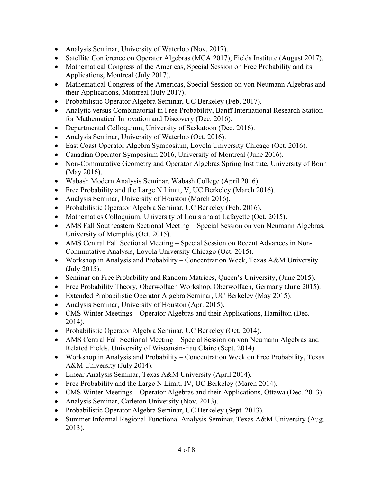- Analysis Seminar, University of Waterloo (Nov. 2017).
- Satellite Conference on Operator Algebras (MCA 2017), Fields Institute (August 2017).
- Mathematical Congress of the Americas, Special Session on Free Probability and its Applications, Montreal (July 2017).
- Mathematical Congress of the Americas, Special Session on von Neumann Algebras and their Applications, Montreal (July 2017).
- Probabilistic Operator Algebra Seminar, UC Berkeley (Feb. 2017).
- Analytic versus Combinatorial in Free Probability, Banff International Research Station for Mathematical Innovation and Discovery (Dec. 2016).
- Departmental Colloquium, University of Saskatoon (Dec. 2016).
- Analysis Seminar, University of Waterloo (Oct. 2016).
- East Coast Operator Algebra Symposium, Loyola University Chicago (Oct. 2016).
- Canadian Operator Symposium 2016, University of Montreal (June 2016).
- Non-Commutative Geometry and Operator Algebras Spring Institute, University of Bonn (May 2016).
- Wabash Modern Analysis Seminar, Wabash College (April 2016).
- Free Probability and the Large N Limit, V, UC Berkeley (March 2016).
- Analysis Seminar, University of Houston (March 2016).
- Probabilistic Operator Algebra Seminar, UC Berkeley (Feb. 2016).
- Mathematics Colloquium, University of Louisiana at Lafayette (Oct. 2015).
- AMS Fall Southeastern Sectional Meeting Special Session on von Neumann Algebras, University of Memphis (Oct. 2015).
- AMS Central Fall Sectional Meeting Special Session on Recent Advances in Non-Commutative Analysis, Loyola University Chicago (Oct. 2015).
- Workshop in Analysis and Probability Concentration Week, Texas A&M University (July 2015).
- Seminar on Free Probability and Random Matrices, Queen's University, (June 2015).
- Free Probability Theory, Oberwolfach Workshop, Oberwolfach, Germany (June 2015).
- Extended Probabilistic Operator Algebra Seminar, UC Berkeley (May 2015).
- Analysis Seminar, University of Houston (Apr. 2015).
- CMS Winter Meetings Operator Algebras and their Applications, Hamilton (Dec. 2014).
- Probabilistic Operator Algebra Seminar, UC Berkeley (Oct. 2014).
- AMS Central Fall Sectional Meeting Special Session on von Neumann Algebras and Related Fields, University of Wisconsin-Eau Claire (Sept. 2014).
- Workshop in Analysis and Probability Concentration Week on Free Probability, Texas A&M University (July 2014).
- Linear Analysis Seminar, Texas A&M University (April 2014).
- Free Probability and the Large N Limit, IV, UC Berkeley (March 2014).
- CMS Winter Meetings Operator Algebras and their Applications, Ottawa (Dec. 2013).
- Analysis Seminar, Carleton University (Nov. 2013).
- Probabilistic Operator Algebra Seminar, UC Berkeley (Sept. 2013).
- Summer Informal Regional Functional Analysis Seminar, Texas A&M University (Aug. 2013).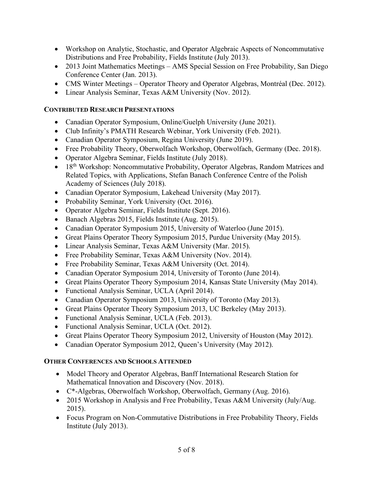- Workshop on Analytic, Stochastic, and Operator Algebraic Aspects of Noncommutative Distributions and Free Probability, Fields Institute (July 2013).
- 2013 Joint Mathematics Meetings AMS Special Session on Free Probability, San Diego Conference Center (Jan. 2013).
- CMS Winter Meetings Operator Theory and Operator Algebras, Montréal (Dec. 2012).
- Linear Analysis Seminar, Texas A&M University (Nov. 2012).

### **CONTRIBUTED RESEARCH PRESENTATIONS**

- Canadian Operator Symposium, Online/Guelph University (June 2021).
- Club Infinity's PMATH Research Webinar, York University (Feb. 2021).
- Canadian Operator Symposium, Regina University (June 2019).
- Free Probability Theory, Oberwolfach Workshop, Oberwolfach, Germany (Dec. 2018).
- Operator Algebra Seminar, Fields Institute (July 2018).
- 18<sup>th</sup> Workshop: Noncommutative Probability, Operator Algebras, Random Matrices and Related Topics, with Applications, Stefan Banach Conference Centre of the Polish Academy of Sciences (July 2018).
- Canadian Operator Symposium, Lakehead University (May 2017).
- Probability Seminar, York University (Oct. 2016).
- Operator Algebra Seminar, Fields Institute (Sept. 2016).
- Banach Algebras 2015, Fields Institute (Aug. 2015).
- Canadian Operator Symposium 2015, University of Waterloo (June 2015).
- Great Plains Operator Theory Symposium 2015, Purdue University (May 2015).
- Linear Analysis Seminar, Texas A&M University (Mar. 2015).
- Free Probability Seminar, Texas A&M University (Nov. 2014).
- Free Probability Seminar, Texas A&M University (Oct. 2014).
- Canadian Operator Symposium 2014, University of Toronto (June 2014).
- Great Plains Operator Theory Symposium 2014, Kansas State University (May 2014).
- Functional Analysis Seminar, UCLA (April 2014).
- Canadian Operator Symposium 2013, University of Toronto (May 2013).
- Great Plains Operator Theory Symposium 2013, UC Berkeley (May 2013).
- Functional Analysis Seminar, UCLA (Feb. 2013).
- Functional Analysis Seminar, UCLA (Oct. 2012).
- Great Plains Operator Theory Symposium 2012, University of Houston (May 2012).
- Canadian Operator Symposium 2012, Queen's University (May 2012).

# **OTHER CONFERENCES AND SCHOOLS ATTENDED**

- Model Theory and Operator Algebras, Banff International Research Station for Mathematical Innovation and Discovery (Nov. 2018).
- C\*-Algebras, Oberwolfach Workshop, Oberwolfach, Germany (Aug. 2016).
- 2015 Workshop in Analysis and Free Probability, Texas A&M University (July/Aug. 2015).
- Focus Program on Non-Commutative Distributions in Free Probability Theory, Fields Institute (July 2013).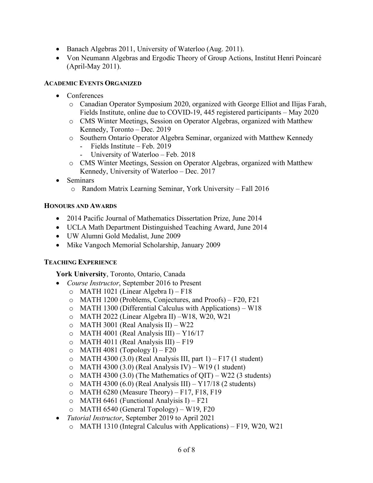- Banach Algebras 2011, University of Waterloo (Aug. 2011).
- Von Neumann Algebras and Ergodic Theory of Group Actions, Institut Henri Poincaré (April-May 2011).

#### **ACADEMIC EVENTS ORGANIZED**

- Conferences
	- o Canadian Operator Symposium 2020, organized with George Elliot and Ilijas Farah, Fields Institute, online due to COVID-19, 445 registered participants – May 2020
	- o CMS Winter Meetings, Session on Operator Algebras, organized with Matthew Kennedy, Toronto – Dec. 2019
	- o Southern Ontario Operator Algebra Seminar, organized with Matthew Kennedy
		- Fields Institute Feb. 2019
		- University of Waterloo Feb. 2018
	- o CMS Winter Meetings, Session on Operator Algebras, organized with Matthew Kennedy, University of Waterloo – Dec. 2017
- Seminars
	- o Random Matrix Learning Seminar, York University Fall 2016

#### **HONOURS AND AWARDS**

- 2014 Pacific Journal of Mathematics Dissertation Prize, June 2014
- UCLA Math Department Distinguished Teaching Award, June 2014
- UW Alumni Gold Medalist, June 2009
- Mike Vangoch Memorial Scholarship, January 2009

#### **TEACHING EXPERIENCE**

**York University**, Toronto, Ontario, Canada

- *Course Instructor*, September 2016 to Present
	- o MATH 1021 (Linear Algebra I) F18
	- o MATH 1200 (Problems, Conjectures, and Proofs) F20, F21
	- o MATH 1300 (Differential Calculus with Applications) W18
	- o MATH 2022 (Linear Algebra II) –W18, W20, W21
	- o MATH 3001 (Real Analysis II) W22
	- o MATH 4001 (Real Analysis III) Y16/17
	- o MATH 4011 (Real Analysis III) F19
	- $O$  MATH 4081 (Topology I) F20
	- $\circ$  MATH 4300 (3.0) (Real Analysis III, part 1) F17 (1 student)
	- $\circ$  MATH 4300 (3.0) (Real Analysis IV) W19 (1 student)
	- $\circ$  MATH 4300 (3.0) (The Mathematics of QIT) W22 (3 students)
	- $\circ$  MATH 4300 (6.0) (Real Analysis III) Y17/18 (2 students)
	- $O$  MATH 6280 (Measure Theory) F17, F18, F19
	- $\circ$  MATH 6461 (Functional Analyisis I) F21
	- o MATH 6540 (General Topology) W19, F20
- *Tutorial Instructor*, September 2019 to April 2021
	- o MATH 1310 (Integral Calculus with Applications) F19, W20, W21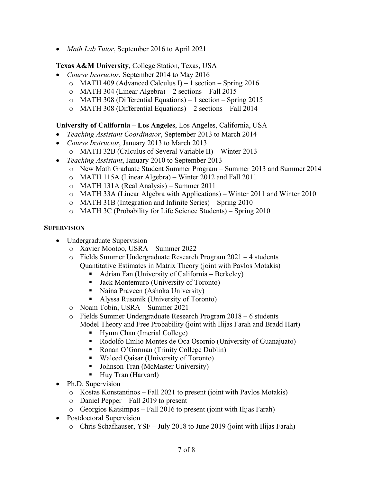• *Math Lab Tutor*, September 2016 to April 2021

**Texas A&M University**, College Station, Texas, USA

- *Course Instructor*, September 2014 to May 2016
	- o MATH 409 (Advanced Calculus I) 1 section Spring 2016
	- o MATH 304 (Linear Algebra) 2 sections Fall 2015
	- o MATH 308 (Differential Equations) 1 section Spring 2015
	- o MATH 308 (Differential Equations) 2 sections Fall 2014

## **University of California – Los Angeles**, Los Angeles, California, USA

- *Teaching Assistant Coordinator*, September 2013 to March 2014
- *Course Instructor*, January 2013 to March 2013
	- o MATH 32B (Calculus of Several Variable II) Winter 2013
- *Teaching Assistant*, January 2010 to September 2013
	- o New Math Graduate Student Summer Program Summer 2013 and Summer 2014
	- o MATH 115A (Linear Algebra) Winter 2012 and Fall 2011
	- o MATH 131A (Real Analysis) Summer 2011
	- o MATH 33A (Linear Algebra with Applications) Winter 2011 and Winter 2010
	- o MATH 31B (Integration and Infinite Series) Spring 2010
	- o MATH 3C (Probability for Life Science Students) Spring 2010

#### **SUPERVISION**

- Undergraduate Supervision
	- o Xavier Mootoo, USRA Summer 2022
	- o Fields Summer Undergraduate Research Program 2021 4 students Quantitative Estimates in Matrix Theory (joint with Pavlos Motakis)
		- § Adrian Fan (University of California Berkeley)
		- Jack Montemuro (University of Toronto)
		- Naina Praveen (Ashoka University)
		- § Alyssa Rusonik (University of Toronto)
	- o Noam Tobin, USRA Summer 2021
	- o Fields Summer Undergraduate Research Program 2018 6 students Model Theory and Free Probability (joint with Ilijas Farah and Bradd Hart)
		- Hymn Chan (Imerial College)
		- Rodolfo Emlio Montes de Oca Osornio (University of Guanajuato)
		- Ronan O'Gorman (Trinity College Dublin)
		- Waleed Qaisar (University of Toronto)
		- Johnson Tran (McMaster University)
		- Huy Tran (Harvard)
- Ph.D. Supervision
	- o Kostas Konstantinos Fall 2021 to present (joint with Pavlos Motakis)
	- o Daniel Pepper Fall 2019 to present
	- o Georgios Katsimpas Fall 2016 to present (joint with Ilijas Farah)
- Postdoctoral Supervision
	- o Chris Schafhauser, YSF July 2018 to June 2019 (joint with Ilijas Farah)